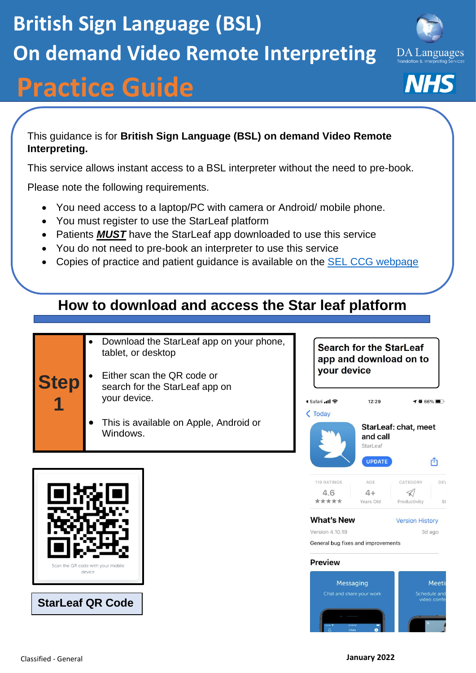**1**

## **British Sign Language (BSL) On demand Video Remote Interpreting**

# **Practice Guide**

This guidance is for **British Sign Language (BSL) on demand Video Remote Interpreting.**

This service allows instant access to a BSL interpreter without the need to pre-book.

Please note the following requirements.

- You need access to a laptop/PC with camera or Android/ mobile phone.
- You must register to use the StarLeaf platform
- Patients *MUST* have the StarLeaf app downloaded to use this service
- You do not need to pre-book an interpreter to use this service
- Copies of practice and patient guidance is available on the [SEL CCG webpage](https://selondonccg.nhs.uk/covid_19/interpreting-services-primary-care/)

## **How to download and access the Star leaf platform**

- Download the StarLeaf app on your phone, tablet, or desktop
- **Step** • Either scan the QR code or search for the StarLeaf app on your device.
	- This is available on Apple, Android or Windows.

**StarLeaf QR Code**

**Search for the StarLeaf** app and download on to vour device

 $12:29$ 

and call StarLeaf

**UPDATE** 

AGE

 $4+$ 

Years Old

StarLeaf: chat, meet



119 RATINGS

 $4.6$ 

\*\*\*\*\*

● Safari ...II କ

 $\zeta$  Today

**Version History** 

3d ago

CATEGORY

 $\triangleleft$ 

Productivity

 $-4066\%$ 

rĥ

DEV

 $St$ 

Version 4.10.19 General bug fixes and improvements

**Preview** 



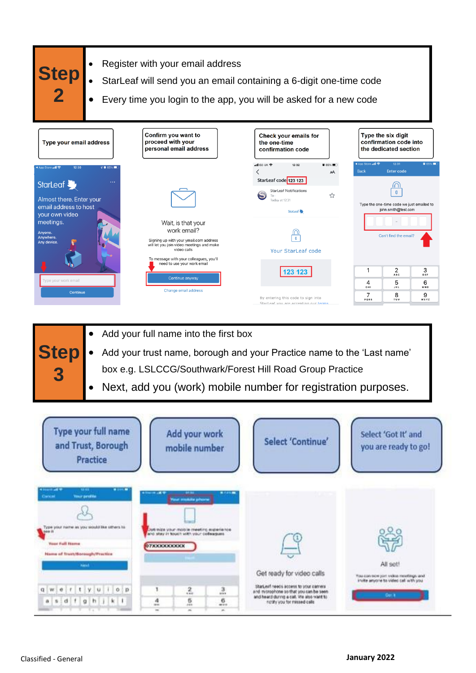

- **Step 3** • Add your full name into the first box • Add your trust name, borough and your Practice name to the 'Last name' box e.g. LSLCCG/Southwark/Forest Hill Road Group Practice
	- Next, add you (work) mobile number for registration purposes.

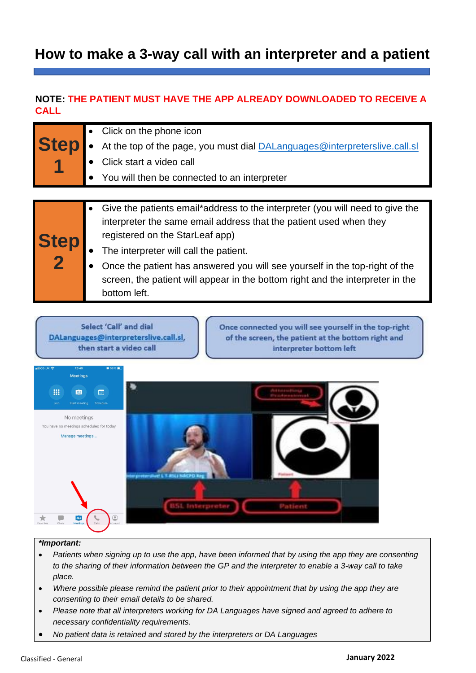### **How to make a 3-way call with an interpreter and a patient**

#### **NOTE: THE PATIENT MUST HAVE THE APP ALREADY DOWNLOADED TO RECEIVE A CALL**

| <b>Step</b> | Click on the phone icon<br>At the top of the page, you must dial <b>DALanguages@interpreterslive.call.sl</b><br>Click start a video call<br>• You will then be connected to an interpreter                                                                                                                                                                                                                        |
|-------------|-------------------------------------------------------------------------------------------------------------------------------------------------------------------------------------------------------------------------------------------------------------------------------------------------------------------------------------------------------------------------------------------------------------------|
|             |                                                                                                                                                                                                                                                                                                                                                                                                                   |
| Step<br>2   | Give the patients email*address to the interpreter (you will need to give the<br>interpreter the same email address that the patient used when they<br>registered on the StarLeaf app)<br>The interpreter will call the patient.<br>Once the patient has answered you will see yourself in the top-right of the<br>screen, the patient will appear in the bottom right and the interpreter in the<br>bottom left. |

Select 'Call' and dial DALanguages@interpreterslive.call.sl, then start a video call

Once connected you will see yourself in the top-right of the screen, the patient at the bottom right and interpreter bottom left



#### *\*Important:*

- *Patients when signing up to use the app, have been informed that by using the app they are consenting to the sharing of their information between the GP and the interpreter to enable a 3-way call to take place.*
- *Where possible please remind the patient prior to their appointment that by using the app they are consenting to their email details to be shared.*
- *Please note that all interpreters working for DA Languages have signed and agreed to adhere to necessary confidentiality requirements.*
- *No patient data is retained and stored by the interpreters or DA Languages*